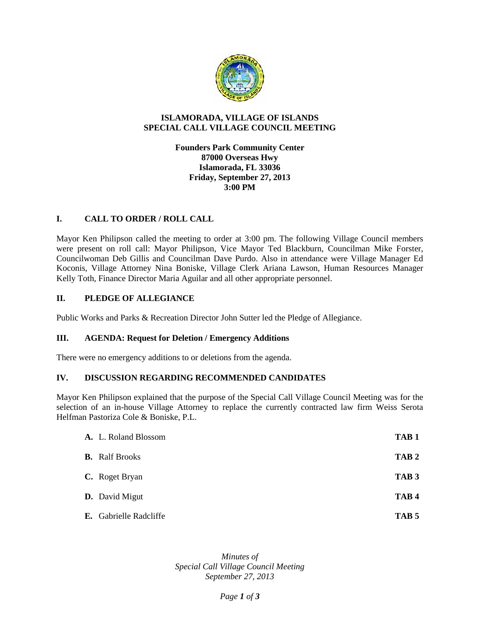

## **ISLAMORADA, VILLAGE OF ISLANDS SPECIAL CALL VILLAGE COUNCIL MEETING**

## **Founders Park Community Center 87000 Overseas Hwy Islamorada, FL 33036 Friday, September 27, 2013 3:00 PM**

## **I. CALL TO ORDER / ROLL CALL**

Mayor Ken Philipson called the meeting to order at 3:00 pm. The following Village Council members were present on roll call: Mayor Philipson, Vice Mayor Ted Blackburn, Councilman Mike Forster, Councilwoman Deb Gillis and Councilman Dave Purdo. Also in attendance were Village Manager Ed Koconis, Village Attorney Nina Boniske, Village Clerk Ariana Lawson, Human Resources Manager Kelly Toth, Finance Director Maria Aguilar and all other appropriate personnel.

#### **II. PLEDGE OF ALLEGIANCE**

Public Works and Parks & Recreation Director John Sutter led the Pledge of Allegiance.

#### **III. AGENDA: Request for Deletion / Emergency Additions**

There were no emergency additions to or deletions from the agenda.

#### **IV. DISCUSSION REGARDING RECOMMENDED CANDIDATES**

Mayor Ken Philipson explained that the purpose of the Special Call Village Council Meeting was for the selection of an in-house Village Attorney to replace the currently contracted law firm Weiss Serota Helfman Pastoriza Cole & Boniske, P.L.

| A. L. Roland Blossom   | TAB <sub>1</sub> |
|------------------------|------------------|
| <b>B.</b> Ralf Brooks  | TAB <sub>2</sub> |
| C. Roget Bryan         | TAB <sub>3</sub> |
| <b>D.</b> David Migut  | TAB <sub>4</sub> |
| E. Gabrielle Radcliffe | TAB <sub>5</sub> |

*Minutes of Special Call Village Council Meeting September 27, 2013*

#### *Page 1 of 3*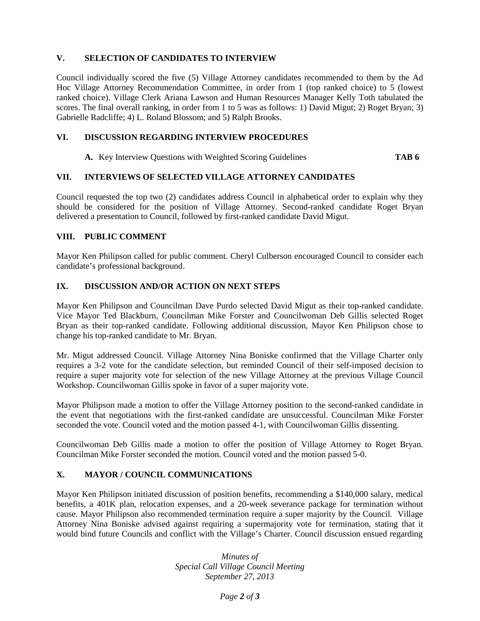## **V. SELECTION OF CANDIDATES TO INTERVIEW**

Council individually scored the five (5) Village Attorney candidates recommended to them by the Ad Hoc Village Attorney Recommendation Committee, in order from 1 (top ranked choice) to 5 (lowest ranked choice). Village Clerk Ariana Lawson and Human Resources Manager Kelly Toth tabulated the scores. The final overall ranking, in order from 1 to 5 was as follows: 1) David Migut; 2) Roget Bryan; 3) Gabrielle Radcliffe; 4) L. Roland Blossom; and 5) Ralph Brooks.

## **VI. DISCUSSION REGARDING INTERVIEW PROCEDURES**

**A.** Key Interview Questions with Weighted Scoring Guidelines **TAB 6**

## **VII. INTERVIEWS OF SELECTED VILLAGE ATTORNEY CANDIDATES**

Council requested the top two (2) candidates address Council in alphabetical order to explain why they should be considered for the position of Village Attorney. Second-ranked candidate Roget Bryan delivered a presentation to Council, followed by first-ranked candidate David Migut.

#### **VIII. PUBLIC COMMENT**

Mayor Ken Philipson called for public comment. Cheryl Culberson encouraged Council to consider each candidate's professional background.

## **IX. DISCUSSION AND/OR ACTION ON NEXT STEPS**

Mayor Ken Philipson and Councilman Dave Purdo selected David Migut as their top-ranked candidate. Vice Mayor Ted Blackburn, Councilman Mike Forster and Councilwoman Deb Gillis selected Roget Bryan as their top-ranked candidate. Following additional discussion, Mayor Ken Philipson chose to change his top-ranked candidate to Mr. Bryan.

Mr. Migut addressed Council. Village Attorney Nina Boniske confirmed that the Village Charter only requires a 3-2 vote for the candidate selection, but reminded Council of their self-imposed decision to require a super majority vote for selection of the new Village Attorney at the previous Village Council Workshop. Councilwoman Gillis spoke in favor of a super majority vote.

Mayor Philipson made a motion to offer the Village Attorney position to the second-ranked candidate in the event that negotiations with the first-ranked candidate are unsuccessful. Councilman Mike Forster seconded the vote. Council voted and the motion passed 4-1, with Councilwoman Gillis dissenting.

Councilwoman Deb Gillis made a motion to offer the position of Village Attorney to Roget Bryan. Councilman Mike Forster seconded the motion. Council voted and the motion passed 5-0.

# **X. MAYOR / COUNCIL COMMUNICATIONS**

Mayor Ken Philipson initiated discussion of position benefits, recommending a \$140,000 salary, medical benefits, a 401K plan, relocation expenses, and a 20-week severance package for termination without cause. Mayor Philipson also recommended termination require a super majority by the Council. Village Attorney Nina Boniske advised against requiring a supermajority vote for termination, stating that it would bind future Councils and conflict with the Village's Charter. Council discussion ensued regarding

> *Minutes of Special Call Village Council Meeting September 27, 2013*